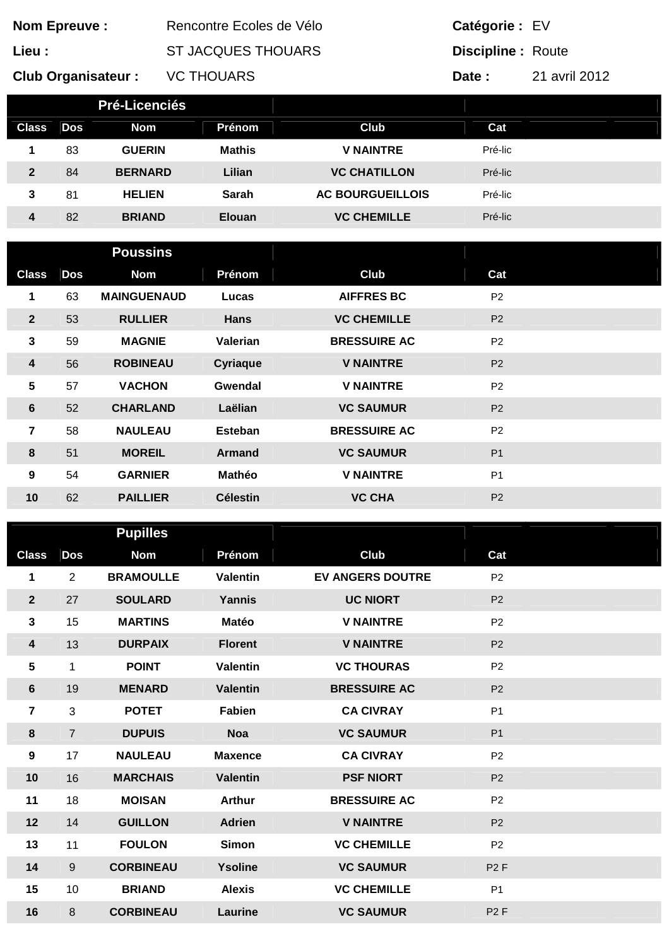| <b>Nom Epreuve:</b>                                                      |                |                    | Rencontre Ecoles de Vélo  |                         |                | Catégorie : EV           |  |  |  |
|--------------------------------------------------------------------------|----------------|--------------------|---------------------------|-------------------------|----------------|--------------------------|--|--|--|
| Lieu :                                                                   |                |                    | <b>ST JACQUES THOUARS</b> |                         |                | <b>Discipline: Route</b> |  |  |  |
| <b>VC THOUARS</b><br>21 avril 2012<br><b>Club Organisateur:</b><br>Date: |                |                    |                           |                         |                |                          |  |  |  |
| Pré-Licenciés                                                            |                |                    |                           |                         |                |                          |  |  |  |
| <b>Class</b>                                                             | <b>Dos</b>     | <b>Nom</b>         | Prénom                    | Club                    | Cat            |                          |  |  |  |
| 1                                                                        | 83             | <b>GUERIN</b>      | <b>Mathis</b>             | <b>V NAINTRE</b>        | Pré-lic        |                          |  |  |  |
| $\overline{2}$                                                           | 84             | <b>BERNARD</b>     | Lilian                    | <b>VC CHATILLON</b>     | Pré-lic        |                          |  |  |  |
| $\mathbf{3}$                                                             | 81             | <b>HELIEN</b>      | <b>Sarah</b>              | <b>AC BOURGUEILLOIS</b> | Pré-lic        |                          |  |  |  |
| $\overline{\mathbf{4}}$                                                  | 82             | <b>BRIAND</b>      | Elouan                    | <b>VC CHEMILLE</b>      | Pré-lic        |                          |  |  |  |
|                                                                          |                |                    |                           |                         |                |                          |  |  |  |
|                                                                          |                | <b>Poussins</b>    |                           |                         |                |                          |  |  |  |
| <b>Class</b>                                                             | <b>Dos</b>     | <b>Nom</b>         | Prénom                    | Club                    | Cat            |                          |  |  |  |
| 1                                                                        | 63             | <b>MAINGUENAUD</b> | Lucas                     | <b>AIFFRES BC</b>       | P <sub>2</sub> |                          |  |  |  |
| $\overline{2}$                                                           | 53             | <b>RULLIER</b>     | <b>Hans</b>               | <b>VC CHEMILLE</b>      | P <sub>2</sub> |                          |  |  |  |
| $\mathbf{3}$                                                             | 59             | <b>MAGNIE</b>      | <b>Valerian</b>           | <b>BRESSUIRE AC</b>     | P <sub>2</sub> |                          |  |  |  |
| $\overline{\mathbf{4}}$                                                  | 56             | <b>ROBINEAU</b>    | <b>Cyriaque</b>           | <b>V NAINTRE</b>        | P <sub>2</sub> |                          |  |  |  |
| 5                                                                        | 57             | <b>VACHON</b>      | Gwendal                   | <b>V NAINTRE</b>        | P <sub>2</sub> |                          |  |  |  |
| $6\phantom{1}$                                                           | 52             | <b>CHARLAND</b>    | Laëlian                   | <b>VC SAUMUR</b>        | P <sub>2</sub> |                          |  |  |  |
| $\overline{7}$                                                           | 58             | <b>NAULEAU</b>     | <b>Esteban</b>            | <b>BRESSUIRE AC</b>     | P <sub>2</sub> |                          |  |  |  |
| 8                                                                        | 51             | <b>MOREIL</b>      | <b>Armand</b>             | <b>VC SAUMUR</b>        | P <sub>1</sub> |                          |  |  |  |
| 9                                                                        | 54             | <b>GARNIER</b>     | Mathéo                    | <b>V NAINTRE</b>        | P <sub>1</sub> |                          |  |  |  |
| 10                                                                       | 62             | <b>PAILLIER</b>    | <b>Célestin</b>           | <b>VC CHA</b>           | P <sub>2</sub> |                          |  |  |  |
|                                                                          |                | <b>Pupilles</b>    |                           |                         |                |                          |  |  |  |
| <b>Class</b>                                                             | <b>Dos</b>     | <b>Nom</b>         | Prénom                    | <b>Club</b>             | Cat            |                          |  |  |  |
| 1                                                                        | $\overline{2}$ | <b>BRAMOULLE</b>   | <b>Valentin</b>           | <b>EV ANGERS DOUTRE</b> | P <sub>2</sub> |                          |  |  |  |
| $\overline{2}$                                                           | 27             | <b>SOULARD</b>     | Yannis                    | <b>UC NIORT</b>         | P <sub>2</sub> |                          |  |  |  |
| $\mathbf{3}$                                                             | 15             | <b>MARTINS</b>     | Matéo                     | <b>V NAINTRE</b>        | P <sub>2</sub> |                          |  |  |  |
| $\overline{\mathbf{4}}$                                                  | 13             | <b>DURPAIX</b>     | <b>Florent</b>            | <b>V NAINTRE</b>        | P <sub>2</sub> |                          |  |  |  |
| $\sqrt{5}$                                                               | $\mathbf{1}$   | <b>POINT</b>       | <b>Valentin</b>           | <b>VC THOURAS</b>       | P <sub>2</sub> |                          |  |  |  |
| $6\phantom{1}$                                                           | 19             | <b>MENARD</b>      | <b>Valentin</b>           | <b>BRESSUIRE AC</b>     | P <sub>2</sub> |                          |  |  |  |
| $\overline{7}$                                                           | 3              | <b>POTET</b>       | Fabien                    | <b>CA CIVRAY</b>        | P <sub>1</sub> |                          |  |  |  |
| $\bf{8}$                                                                 | $\overline{7}$ | <b>DUPUIS</b>      | <b>Noa</b>                | <b>VC SAUMUR</b>        | P <sub>1</sub> |                          |  |  |  |
| 9                                                                        | 17             | <b>NAULEAU</b>     | <b>Maxence</b>            | <b>CA CIVRAY</b>        | P <sub>2</sub> |                          |  |  |  |
| 10                                                                       | 16             | <b>MARCHAIS</b>    | <b>Valentin</b>           | <b>PSF NIORT</b>        | P <sub>2</sub> |                          |  |  |  |
| 11                                                                       | 18             | <b>MOISAN</b>      | <b>Arthur</b>             | <b>BRESSUIRE AC</b>     | P <sub>2</sub> |                          |  |  |  |
| 12                                                                       | 14             | <b>GUILLON</b>     | <b>Adrien</b>             | <b>V NAINTRE</b>        | P <sub>2</sub> |                          |  |  |  |
| 13                                                                       | 11             | <b>FOULON</b>      | Simon                     | <b>VC CHEMILLE</b>      | P <sub>2</sub> |                          |  |  |  |

9 **CORBINEAU Ysoline VC SAUMUR** P2 F

10 **BRIAND Alexis VC CHEMILLE** P1 8 **CORBINEAU Laurine VC SAUMUR** P2 F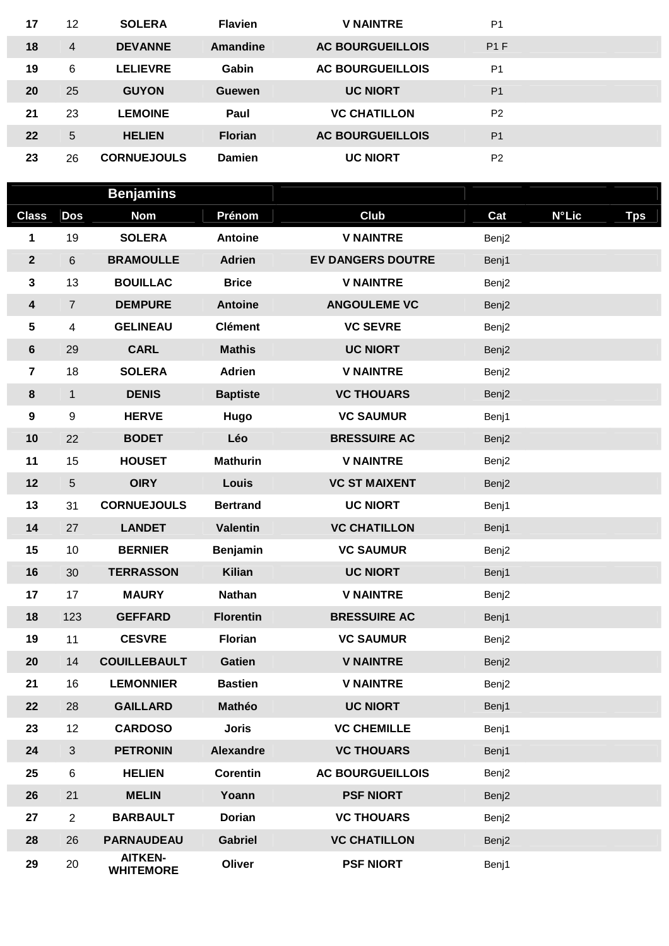| 17                | 12 | <b>SOLERA</b>      | <b>Flavien</b> | <b>V NAINTRE</b>        | P <sub>1</sub> |  |
|-------------------|----|--------------------|----------------|-------------------------|----------------|--|
| 18                | 4  | <b>DEVANNE</b>     | Amandine       | <b>AC BOURGUEILLOIS</b> | P1F            |  |
| 19                | 6  | <b>LELIEVRE</b>    | Gabin          | <b>AC BOURGUEILLOIS</b> | P <sub>1</sub> |  |
| <b>20</b>         | 25 | <b>GUYON</b>       | Guewen         | <b>UC NIORT</b>         | P <sub>1</sub> |  |
| 21                | 23 | <b>LEMOINE</b>     | Paul           | <b>VC CHATILLON</b>     | P <sub>2</sub> |  |
| $22 \overline{ }$ | 5  | <b>HELIEN</b>      | <b>Florian</b> | <b>AC BOURGUEILLOIS</b> | P <sub>1</sub> |  |
| 23                | 26 | <b>CORNUEJOULS</b> | Damien         | <b>UC NIORT</b>         | P <sub>2</sub> |  |

|                         |                         | <b>Benjamins</b>                   |                  |                                   |       |              |            |
|-------------------------|-------------------------|------------------------------------|------------------|-----------------------------------|-------|--------------|------------|
| <b>Class</b>            | <b>Dos</b>              | <b>Nom</b>                         | Prénom           | Club                              | Cat   | <b>N°Lic</b> | <b>Tps</b> |
| 1                       | 19                      | <b>SOLERA</b>                      | <b>Antoine</b>   | <b>V NAINTRE</b>                  | Benj2 |              |            |
| $\mathbf{2}$            | 6                       | <b>BRAMOULLE</b>                   | <b>Adrien</b>    | <b>EV DANGERS DOUTRE</b><br>Benj1 |       |              |            |
| 3                       | 13                      | <b>BOUILLAC</b>                    | <b>Brice</b>     | <b>V NAINTRE</b>                  | Benj2 |              |            |
| 4                       | $\overline{7}$          | <b>DEMPURE</b>                     | <b>Antoine</b>   | <b>ANGOULEME VC</b>               | Benj2 |              |            |
| 5                       | $\overline{\mathbf{4}}$ | <b>GELINEAU</b>                    | <b>Clément</b>   | <b>VC SEVRE</b>                   | Benj2 |              |            |
| 6                       | 29                      | <b>CARL</b>                        | <b>Mathis</b>    | <b>UC NIORT</b>                   | Benj2 |              |            |
| $\overline{\mathbf{7}}$ | 18                      | <b>SOLERA</b>                      | <b>Adrien</b>    | <b>V NAINTRE</b>                  | Benj2 |              |            |
| $\bf 8$                 | $\mathbf{1}$            | <b>DENIS</b>                       | <b>Baptiste</b>  | <b>VC THOUARS</b>                 | Benj2 |              |            |
| $\boldsymbol{9}$        | 9                       | <b>HERVE</b>                       | Hugo             | <b>VC SAUMUR</b>                  | Benj1 |              |            |
| 10                      | 22                      | <b>BODET</b>                       | Léo              | <b>BRESSUIRE AC</b>               | Benj2 |              |            |
| 11                      | 15                      | <b>HOUSET</b>                      | <b>Mathurin</b>  | <b>V NAINTRE</b>                  | Benj2 |              |            |
| 12                      | 5                       | <b>OIRY</b>                        | Louis            | <b>VC ST MAIXENT</b>              | Benj2 |              |            |
| 13                      | 31                      | <b>CORNUEJOULS</b>                 | <b>Bertrand</b>  | <b>UC NIORT</b>                   | Benj1 |              |            |
| 14                      | 27                      | <b>LANDET</b>                      | <b>Valentin</b>  | <b>VC CHATILLON</b>               | Benj1 |              |            |
| 15                      | 10                      | <b>BERNIER</b>                     | Benjamin         | <b>VC SAUMUR</b>                  | Benj2 |              |            |
| 16                      | 30                      | <b>TERRASSON</b>                   | <b>Kilian</b>    | <b>UC NIORT</b>                   | Benj1 |              |            |
| 17                      | 17                      | <b>MAURY</b>                       | <b>Nathan</b>    | <b>V NAINTRE</b>                  | Benj2 |              |            |
| 18                      | 123                     | <b>GEFFARD</b>                     | <b>Florentin</b> | <b>BRESSUIRE AC</b>               | Benj1 |              |            |
| 19                      | 11                      | <b>CESVRE</b>                      | <b>Florian</b>   | <b>VC SAUMUR</b>                  | Benj2 |              |            |
| 20                      | 14                      | <b>COUILLEBAULT</b>                | <b>Gatien</b>    | <b>V NAINTRE</b>                  | Benj2 |              |            |
| 21                      | 16                      | <b>LEMONNIER</b>                   | <b>Bastien</b>   | <b>V NAINTRE</b>                  | Benj2 |              |            |
| 22                      | 28                      | <b>GAILLARD</b>                    | Mathéo           | <b>UC NIORT</b>                   | Benj1 |              |            |
| 23                      | 12                      | <b>CARDOSO</b>                     | <b>Joris</b>     | <b>VC CHEMILLE</b>                | Benj1 |              |            |
| 24                      | $\mathfrak{S}$          | <b>PETRONIN</b>                    | Alexandre        | <b>VC THOUARS</b>                 | Benj1 |              |            |
| 25                      | 6                       | <b>HELIEN</b>                      | <b>Corentin</b>  | <b>AC BOURGUEILLOIS</b>           | Benj2 |              |            |
| 26                      | 21                      | <b>MELIN</b>                       | Yoann            | <b>PSF NIORT</b>                  | Benj2 |              |            |
| 27                      | $\overline{2}$          | <b>BARBAULT</b>                    | <b>Dorian</b>    | <b>VC THOUARS</b>                 | Benj2 |              |            |
| 28                      | 26                      | <b>PARNAUDEAU</b>                  | <b>Gabriel</b>   | <b>VC CHATILLON</b>               | Benj2 |              |            |
| 29                      | 20                      | <b>AITKEN-</b><br><b>WHITEMORE</b> | Oliver           | <b>PSF NIORT</b>                  | Benj1 |              |            |